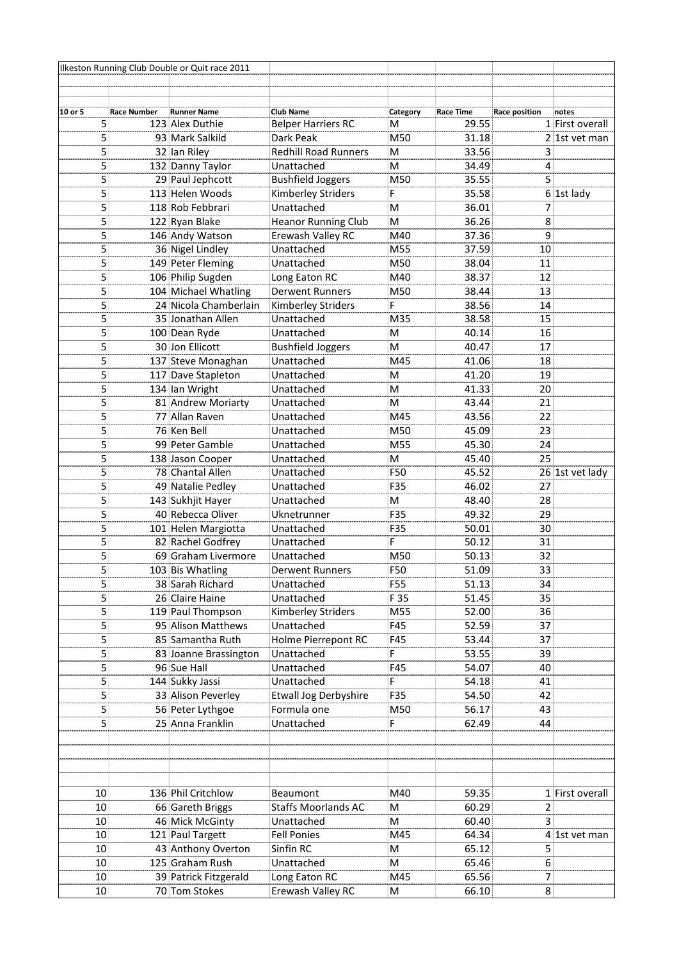|                                  |             | Ilkeston Running Club Double or Quit race 2011 |                                          |             |                    |                |                                  |
|----------------------------------|-------------|------------------------------------------------|------------------------------------------|-------------|--------------------|----------------|----------------------------------|
|                                  |             |                                                |                                          |             |                    |                |                                  |
|                                  |             |                                                |                                          |             |                    |                |                                  |
| 10 or 5                          | Race Number | <b>Runner Name</b>                             | <b>Club Name</b>                         | Category    | Race Time<br>29.55 | Race position  | notes                            |
| 5.                               |             | 123 Alex Duthie                                | <b>Belper Harriers RC</b>                | м<br>M50    | 31.18              |                | 1 First overall<br>2 1st vet man |
| 5 <sub>i</sub><br>5 <sub>1</sub> |             | 93 Mark Salkild<br>32 Ian Riley                | Dark Peak<br><b>Redhill Road Runners</b> | м           | 33.56              | 3:             |                                  |
| 5 <sub>1</sub>                   |             | 132 Danny Taylor                               | Unattached                               | M           | 34.49              | 4:             |                                  |
| 5 <sub>1</sub>                   |             | 29 Paul Jephcott                               | <b>Bushfield Joggers</b>                 | M50         | 35.55              | 5 <sup>1</sup> |                                  |
| 5                                |             | 113 Helen Woods                                | Kimberley Striders                       | F           | 35.58              |                | 6 1st lady                       |
| 5 <sub>1</sub>                   |             | 118 Rob Febbrari                               | Unattached                               | м           | 36.01              | 7              |                                  |
| $\overline{5}$                   |             | 122 Ryan Blake                                 | <b>Heanor Running Club</b>               | м           | 36.26              | 8              |                                  |
| 5 <sup>1</sup>                   |             | 146 Andy Watson                                | Erewash Valley RC                        | M40         | 37.36              | 9              |                                  |
| 5                                |             | 36 Nigel Lindley                               | Unattached                               | M55         | 37.59              | 10             |                                  |
| 5                                |             | 149 Peter Fleming                              | Unattached                               | M50         | 38.04              | 11             |                                  |
| 5                                |             | 106 Philip Sugden                              | Long Eaton RC                            | M40         | 38.37              | 12             |                                  |
| 5                                |             | 104 Michael Whatling                           | <b>Derwent Runners</b>                   | M50         | 38.44              | 13             |                                  |
| 5                                |             | 24 Nicola Chamberlain                          | Kimberley Striders                       |             | 38.56              | 14             |                                  |
| 5                                |             | 35 Jonathan Allen                              | Unattached                               | M35         | 38.58              | 15             |                                  |
| 5                                |             | 100 Dean Ryde                                  | Unattached                               | м           | 40.14              | 16             |                                  |
| 5                                |             | 30 Jon Ellicott                                | <b>Bushfield Joggers</b>                 | М           | 40.47              | 17             |                                  |
| $\overline{5}$                   |             | 137 Steve Monaghan                             | Unattached                               | M45         | 41.06              | 18             |                                  |
| 5                                |             | 117 Dave Stapleton                             | Unattached                               | м           | 41.20              | 19             |                                  |
| 5 <sub>1</sub>                   |             | 134 Ian Wright                                 | Unattached                               | М           | 41.33              | 20             |                                  |
| $\overline{5}$                   |             | 81 Andrew Moriarty                             | Unattached                               | М           | 43.44              | 21             |                                  |
| 5 <sub>1</sub>                   |             | 77 Allan Raven                                 | Unattached                               | M45         | 43.56              | 22             |                                  |
| 5                                |             | 76 Ken Bell                                    | Unattached                               | M50         | 45.09              | 23             |                                  |
| 5 <sup>1</sup>                   |             | 99 Peter Gamble                                | Unattached                               | M55         | 45.30              | 24             |                                  |
| 5 <sup>1</sup>                   |             | 138 Jason Cooper                               | Unattached                               | м           | 45.40              | 25             |                                  |
| 5 <sub>1</sub>                   |             | 78 Chantal Allen                               | Unattached                               | F50         | 45.52              |                | 26 1st vet lady                  |
| 5                                |             | 49 Natalie Pedley                              | Unattached                               | F35         | 46.02              | 27             |                                  |
| 5 <sub>1</sub>                   |             | 143 Sukhjit Hayer                              | Unattached                               | M           | 48.40              | 28             |                                  |
| 5 <sup>1</sup>                   |             | 40 Rebecca Oliver                              | Uknetrunner                              | F35         | 49.32              | 29             |                                  |
| 5 <sup>1</sup>                   |             | 101 Helen Margiotta                            | Unattached                               | F35         | 50.01              | 30             |                                  |
| 5                                |             | 82 Rachel Godfrey                              | Unattached                               | F           | 50.12              | 31             |                                  |
| 5 <sub>1</sub><br>5 <sup>1</sup> |             | 69 Graham Livermore                            | Unattached                               | M50         | 50.13              | 32             |                                  |
|                                  |             | 103 Bis Whatling                               | <b>Derwent Runners</b>                   | F50         | 51.09              | 33             |                                  |
| 5<br>5                           |             | 38 Sarah Richard<br>26 Claire Haine            | Unattached<br>Unattached                 | F55<br>F 35 | 51.13<br>51.45     | 34<br>35       |                                  |
| 5                                |             | 119 Paul Thompson                              | Kimberley Striders                       | M55         | 52.00              | 36             |                                  |
| 5 <sub>1</sub>                   |             | 95 Alison Matthews                             | Unattached                               | F45         | 52.59              | 37             |                                  |
| 5 <sup>1</sup>                   |             | 85 Samantha Ruth                               | Holme Pierrepont RC                      | F45         | 53.44              | 37             |                                  |
| 5                                |             | 83 Joanne Brassington                          | Unattached                               |             | 53.55              | 39             |                                  |
| 5                                |             | 96 Sue Hall                                    | Unattached                               | F45         | 54.07              | 40             |                                  |
| 5:                               |             | 144 Sukky Jassi                                | Unattached                               | F           | 54.18              | 41             |                                  |
| $\overline{5}$                   |             | 33 Alison Peverley                             | <b>Etwall Jog Derbyshire</b>             | F35         | 54.50              | 42             |                                  |
| 5 <sub>1</sub>                   |             | 56 Peter Lythgoe                               | Formula one                              | M50         | 56.17              | 43.            |                                  |
| 5 <sup>1</sup>                   |             | 25 Anna Franklin                               | Unattached                               | F           | 62.49              | 44             |                                  |
|                                  |             |                                                |                                          |             |                    |                |                                  |
|                                  |             |                                                |                                          |             |                    |                |                                  |
|                                  |             |                                                |                                          |             |                    |                |                                  |
|                                  |             |                                                |                                          |             |                    |                |                                  |
| 10                               |             | 136 Phil Critchlow                             | Beaumont                                 | M40         | 59.35              |                | 1 First overall                  |
| 10                               |             | 66 Gareth Briggs                               | <b>Staffs Moorlands AC</b>               | M           | 60.29              | 2 <sub>1</sub> |                                  |
| 10                               |             | 46 Mick McGinty                                | Unattached                               | M           | 60.40              | 3              |                                  |
| 10                               |             | 121 Paul Targett                               | <b>Fell Ponies</b>                       | M45         | 64.34              |                | 4 1st vet man                    |
| 10                               |             | 43 Anthony Overton                             | Sinfin RC                                | M           | 65.12              | 5 <sup>1</sup> |                                  |
| 10                               |             | 125 Graham Rush                                | Unattached                               | M           | 65.46              | 6              |                                  |
| 10                               |             | 39 Patrick Fitzgerald                          | Long Eaton RC                            | M45         | 65.56              | 7              |                                  |
| 10                               |             | 70 Tom Stokes                                  | Erewash Valley RC                        | М           | 66.10              | 8.             |                                  |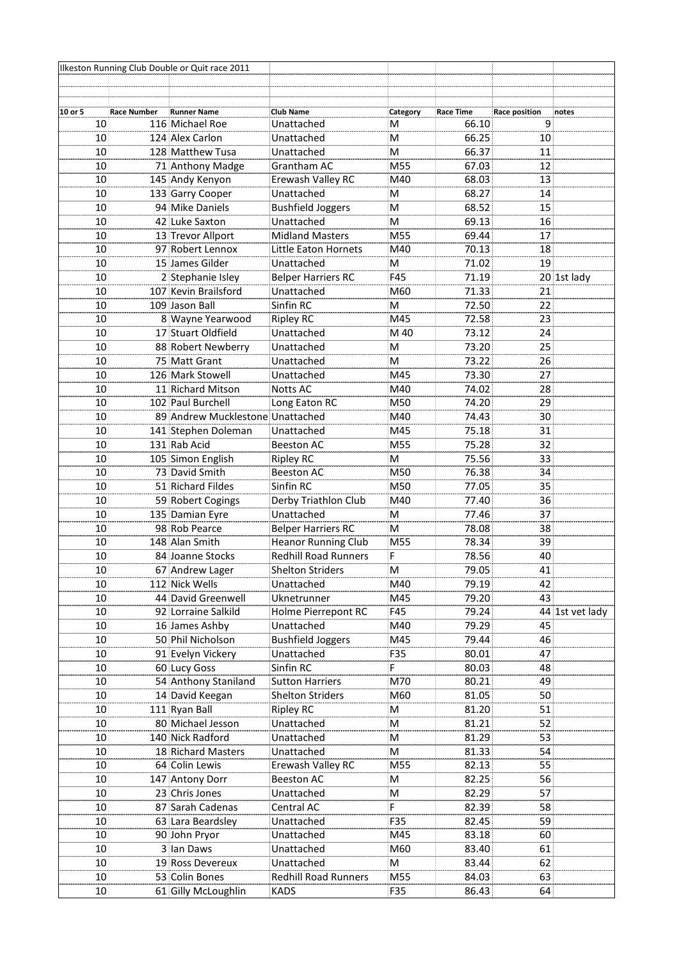|                 |                    | Ilkeston Running Club Double or Quit race 2011 |                            |          |           |                 |                 |
|-----------------|--------------------|------------------------------------------------|----------------------------|----------|-----------|-----------------|-----------------|
|                 |                    |                                                |                            |          |           |                 |                 |
|                 |                    |                                                |                            |          |           |                 |                 |
| 10 or 5         | <b>Race Number</b> | <b>Runner Name</b>                             | <b>Club Name</b>           | Category | Race Time | Race position   | notes           |
| 10 <sup>1</sup> |                    | 116 Michael Roe                                | Unattached                 | М        | 66.10     | 9.              |                 |
| 10 <sup>1</sup> |                    | 124 Alex Carlon                                | Unattached                 | м        | 66.25     | 10.             |                 |
| 10              |                    | 128 Matthew Tusa                               | Unattached                 | м        | 66.37     | 11              |                 |
| 10              |                    | 71 Anthony Madge                               | Grantham AC                | M55      | 67.03     | 12              |                 |
| 10              |                    | 145 Andy Kenyon                                | Erewash Valley RC          | M40      | 68.03     | 13              |                 |
| 10              |                    | 133 Garry Cooper                               | Unattached                 | М        | 68.27     | 14              |                 |
| 10              |                    | 94 Mike Daniels                                | <b>Bushfield Joggers</b>   | M        | 68.52     | 15              |                 |
| 10              |                    | 42 Luke Saxton                                 | Unattached                 | м        | 69.13     | 16              |                 |
| 10              |                    | 13 Trevor Allport                              | <b>Midland Masters</b>     | M55      | 69.44     | 17              |                 |
| 10              |                    | 97 Robert Lennox                               | Little Eaton Hornets       | M40      | 70.13     | 18              |                 |
| 10              |                    | 15 James Gilder                                | Unattached                 | M        | 71.02     | 19              |                 |
| 10              |                    | 2 Stephanie Isley                              | <b>Belper Harriers RC</b>  | F45      | 71.19     |                 | 20 1st lady     |
| 10              |                    | 107 Kevin Brailsford                           | Unattached                 | M60      | 71.33     | 21              |                 |
| 10              |                    | 109 Jason Ball                                 | Sinfin RC                  | M        | 72.50     | 22              |                 |
| 10              |                    | 8 Wayne Yearwood                               | <b>Ripley RC</b>           | M45      | 72.58     | 23              |                 |
| 10              |                    | 17 Stuart Oldfield                             | Unattached                 | M 40     | 73.12     | 24              |                 |
| 10              |                    | 88 Robert Newberry                             | Unattached                 | м        | 73.20     | 25              |                 |
| 10              |                    | 75 Matt Grant                                  | Unattached                 | м        | 73.22     | 26              |                 |
| 10              |                    | 126 Mark Stowell                               | Unattached                 | M45      | 73.30     | 27              |                 |
| 10              |                    | 11 Richard Mitson                              | <b>Notts AC</b>            | M40      | 74.02     | 28.             |                 |
| 10              |                    | 102 Paul Burchell                              | Long Eaton RC              | M50      | 74.20     | 29              |                 |
| 10              |                    | 89 Andrew Mucklestone Unattached               |                            | M40      | 74.43     | 30              |                 |
| 10              |                    | 141 Stephen Doleman                            | Unattached                 | M45      | 75.18     | 31              |                 |
| 10              |                    | 131 Rab Acid                                   | <b>Beeston AC</b>          | M55      | 75.28     | 32              |                 |
| 10              |                    | 105 Simon English                              | <b>Ripley RC</b>           | м        | 75.56     | 33              |                 |
| 10              |                    | 73 David Smith                                 | <b>Beeston AC</b>          | M50      | 76.38     | 34 <sup>1</sup> |                 |
| 10              |                    | 51 Richard Fildes                              | Sinfin RC                  | M50      | 77.05     | 35              |                 |
| 10              |                    | 59 Robert Cogings                              | Derby Triathlon Club       | M40      | 77.40     | 36              |                 |
| 10              |                    | 135 Damian Eyre                                | Unattached                 | M        | 77.46     | 37              |                 |
| 10              |                    | 98 Rob Pearce                                  | <b>Belper Harriers RC</b>  | M        | 78.08     | 38              |                 |
| 10              |                    | 148 Alan Smith                                 | <b>Heanor Running Club</b> | M55      | 78.34     | 39              |                 |
| 10              |                    | 84 Joanne Stocks                               | Redhill Road Runners       | F        | 78.56     | 40              |                 |
| 10              |                    | 67 Andrew Lager                                | <b>Shelton Striders</b>    | $\sf M$  | 79.05     | 41              |                 |
| 10              |                    | 112 Nick Wells                                 | Unattached                 | M40      | 79.19     | 42              |                 |
| 10              |                    | 44 David Greenwell                             | Uknetrunner                | M45      | 79.20     | 43              |                 |
| 10              |                    | 92 Lorraine Salkild                            | Holme Pierrepont RC        | F45      | 79.24     |                 | 44 1st vet lady |
| 10              |                    | 16 James Ashby                                 | Unattached                 | M40      | 79.29     | 45              |                 |
| 10              |                    | 50 Phil Nicholson                              | <b>Bushfield Joggers</b>   | M45      | 79.44     | 46              |                 |
| 10              |                    | 91 Evelyn Vickery                              | Unattached                 | F35      | 80.01     | 47              |                 |
| 10              |                    | 60 Lucy Goss                                   | Sinfin RC                  | F        | 80.03     | 48              |                 |
| 10              |                    | 54 Anthony Staniland                           | <b>Sutton Harriers</b>     | M70      | 80.21     | 49:             |                 |
| 10              |                    | 14 David Keegan                                | <b>Shelton Striders</b>    | M60      | 81.05     | 50              |                 |
| 10              |                    | 111 Ryan Ball                                  | <b>Ripley RC</b>           | м        | 81.20     | 51              |                 |
| 10              |                    | 80 Michael Jesson                              | Unattached                 | M        | 81.21     | 52              |                 |
| 10              |                    | 140 Nick Radford                               | Unattached                 | М        | 81.29     | 53              |                 |
| 10              |                    | 18 Richard Masters                             | Unattached                 | М        | 81.33     | 54.             |                 |
| 10 <sub>1</sub> |                    | 64 Colin Lewis                                 | Erewash Valley RC          | M55      | 82.13     | 55              |                 |
| 10              |                    | 147 Antony Dorr                                | <b>Beeston AC</b>          | M        | 82.25     | 56              |                 |
| 10              |                    | 23 Chris Jones                                 | Unattached                 | M        | 82.29     | 57              |                 |
| 10              |                    | 87 Sarah Cadenas                               | Central AC                 | F        | 82.39     | 58              |                 |
| 10              |                    | 63 Lara Beardsley                              | Unattached                 | F35      | 82.45     | 59              |                 |
| 10              |                    | 90 John Pryor                                  | Unattached                 | M45      | 83.18     | 60              |                 |
| 10              |                    | 3 Ian Daws                                     | Unattached                 | M60      | 83.40     | 61              |                 |
| 10              |                    | 19 Ross Devereux                               | Unattached                 | M        | 83.44     | 62              |                 |
| 10              |                    | 53 Colin Bones                                 | Redhill Road Runners       | M55      | 84.03     | 63              |                 |
| 10              |                    | 61 Gilly McLoughlin                            | <b>KADS</b>                | F35      | 86.43     | 64              |                 |